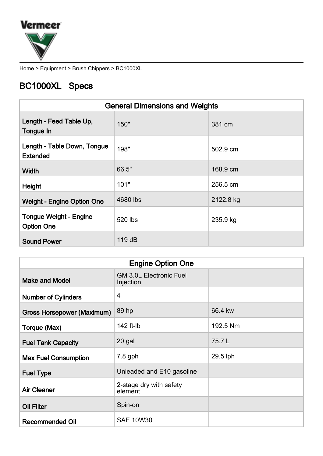

Home > Equipment > Brush Chippers > BC1000XL

## BC1000XL Specs

|                                                    | <b>General Dimensions and Weights</b> |           |
|----------------------------------------------------|---------------------------------------|-----------|
| Length - Feed Table Up,<br>Tongue In               | 150"                                  | 381 cm    |
| Length - Table Down, Tongue<br><b>Extended</b>     | 198"                                  | 502.9 cm  |
| Width                                              | 66.5"                                 | 168.9 cm  |
| Height                                             | 101"                                  | 256.5 cm  |
| <b>Weight - Engine Option One</b>                  | 4680 lbs                              | 2122.8 kg |
| <b>Tongue Weight - Engine</b><br><b>Option One</b> | 520 lbs                               | 235.9 kg  |
| <b>Sound Power</b>                                 | 119dB                                 |           |

| <b>Engine Option One</b>          |                                             |          |
|-----------------------------------|---------------------------------------------|----------|
| <b>Make and Model</b>             | <b>GM 3.0L Electronic Fuel</b><br>Injection |          |
| <b>Number of Cylinders</b>        | 4                                           |          |
| <b>Gross Horsepower (Maximum)</b> | 89 hp                                       | 66.4 kw  |
| Torque (Max)                      | 142 ft-lb                                   | 192.5 Nm |
| <b>Fuel Tank Capacity</b>         | 20 gal                                      | 75.7L    |
| <b>Max Fuel Consumption</b>       | 7.8 gph                                     | 29.5 lph |
| <b>Fuel Type</b>                  | Unleaded and E10 gasoline                   |          |
| <b>Air Cleaner</b>                | 2-stage dry with safety<br>element          |          |
| <b>Oil Filter</b>                 | Spin-on                                     |          |
| <b>Recommended Oil</b>            | <b>SAE 10W30</b>                            |          |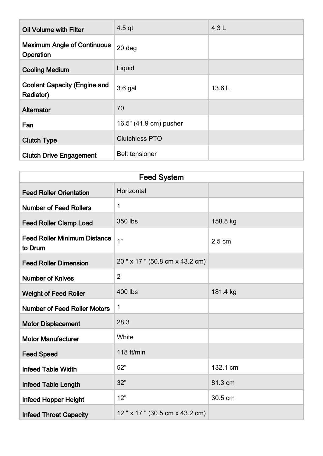| Oil Volume with Filter                           | $4.5$ qt               | 4.3L  |
|--------------------------------------------------|------------------------|-------|
| <b>Maximum Angle of Continuous</b><br>Operation  | 20 deg                 |       |
| <b>Cooling Medium</b>                            | Liquid                 |       |
| <b>Coolant Capacity (Engine and</b><br>Radiator) | 3.6 gal                | 13.6L |
| <b>Alternator</b>                                | 70                     |       |
| Fan                                              | 16.5" (41.9 cm) pusher |       |
| <b>Clutch Type</b>                               | <b>Clutchless PTO</b>  |       |
| <b>Clutch Drive Engagement</b>                   | <b>Belt tensioner</b>  |       |

| <b>Feed System</b>                             |                                 |          |
|------------------------------------------------|---------------------------------|----------|
| <b>Feed Roller Orientation</b>                 | Horizontal                      |          |
| <b>Number of Feed Rollers</b>                  | 1                               |          |
| <b>Feed Roller Clamp Load</b>                  | 350 lbs                         | 158.8 kg |
| <b>Feed Roller Minimum Distance</b><br>to Drum | 1"                              | 2.5 cm   |
| <b>Feed Roller Dimension</b>                   | 20" x 17" (50.8 cm x 43.2 cm)   |          |
| <b>Number of Knives</b>                        | $\overline{2}$                  |          |
| <b>Weight of Feed Roller</b>                   | 400 lbs                         | 181.4 kg |
| <b>Number of Feed Roller Motors</b>            | 1                               |          |
| <b>Motor Displacement</b>                      | 28.3                            |          |
| <b>Motor Manufacturer</b>                      | White                           |          |
| <b>Feed Speed</b>                              | 118 ft/min                      |          |
| <b>Infeed Table Width</b>                      | 52"                             | 132.1 cm |
| <b>Infeed Table Length</b>                     | 32"                             | 81.3 cm  |
| Infeed Hopper Height                           | 12"                             | 30.5 cm  |
| <b>Infeed Throat Capacity</b>                  | 12 " x 17 " (30.5 cm x 43.2 cm) |          |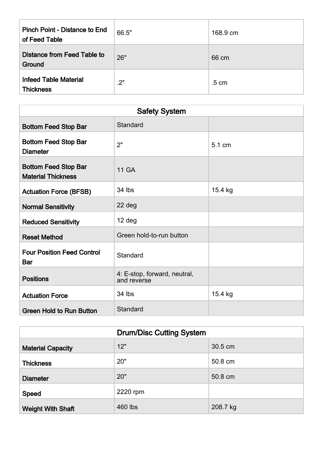| <b>Pinch Point - Distance to End</b><br>of Feed Table | 66.5" | 168.9 cm        |
|-------------------------------------------------------|-------|-----------------|
| <b>Distance from Feed Table to</b><br>Ground          | 26"   | 66 cm           |
| <b>Infeed Table Material</b><br><b>Thickness</b>      | .2"   | $.5 \text{ cm}$ |

| <b>Safety System</b>                                     |                                             |         |
|----------------------------------------------------------|---------------------------------------------|---------|
| <b>Bottom Feed Stop Bar</b>                              | Standard                                    |         |
| <b>Bottom Feed Stop Bar</b><br><b>Diameter</b>           | 2"                                          | 5.1 cm  |
| <b>Bottom Feed Stop Bar</b><br><b>Material Thickness</b> | <b>11 GA</b>                                |         |
| <b>Actuation Force (BFSB)</b>                            | 34 lbs                                      | 15.4 kg |
| <b>Normal Sensitivity</b>                                | 22 deg                                      |         |
| <b>Reduced Sensitivity</b>                               | 12 deg                                      |         |
| <b>Reset Method</b>                                      | Green hold-to-run button                    |         |
| <b>Four Position Feed Control</b><br><b>Bar</b>          | Standard                                    |         |
| <b>Positions</b>                                         | 4: E-stop, forward, neutral,<br>and reverse |         |
| <b>Actuation Force</b>                                   | 34 lbs                                      | 15.4 kg |
| <b>Green Hold to Run Button</b>                          | Standard                                    |         |

| <b>Drum/Disc Cutting System</b> |          |          |
|---------------------------------|----------|----------|
| <b>Material Capacity</b>        | 12"      | 30.5 cm  |
| <b>Thickness</b>                | 20"      | 50.8 cm  |
| <b>Diameter</b>                 | 20"      | 50.8 cm  |
| <b>Speed</b>                    | 2220 rpm |          |
| <b>Weight With Shaft</b>        | 460 lbs  | 208.7 kg |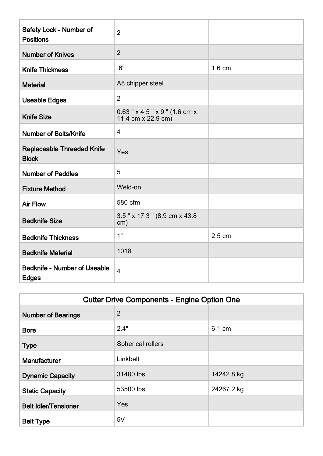| Safety Lock - Number of<br><b>Positions</b>         | $\overline{2}$                                           |        |
|-----------------------------------------------------|----------------------------------------------------------|--------|
| <b>Number of Knives</b>                             | $\overline{2}$                                           |        |
| <b>Knife Thickness</b>                              | .6"                                                      | 1.6 cm |
| <b>Material</b>                                     | A8 chipper steel                                         |        |
| <b>Useable Edges</b>                                | $\overline{2}$                                           |        |
| <b>Knife Size</b>                                   | $0.63$ " x 4.5 " x 9 " (1.6 cm x<br>11.4 cm $x$ 22.9 cm) |        |
| <b>Number of Bolts/Knife</b>                        | $\overline{4}$                                           |        |
| <b>Replaceable Threaded Knife</b><br><b>Block</b>   | Yes                                                      |        |
| <b>Number of Paddles</b>                            | 5                                                        |        |
| <b>Fixture Method</b>                               | Weld-on                                                  |        |
| <b>Air Flow</b>                                     | 580 cfm                                                  |        |
| <b>Bedknife Size</b>                                | 3.5" x 17.3" (8.9 cm x 43.8)<br>cm)                      |        |
| <b>Bedknife Thickness</b>                           | 1"                                                       | 2.5 cm |
| <b>Bedknife Material</b>                            | 1018                                                     |        |
| <b>Bedknife - Number of Useable</b><br><b>Edges</b> | $\overline{4}$                                           |        |

| <b>Cutter Drive Components - Engine Option One</b> |                          |            |
|----------------------------------------------------|--------------------------|------------|
| <b>Number of Bearings</b>                          | $\overline{2}$           |            |
| <b>Bore</b>                                        | 2.4"                     | 6.1 cm     |
| <b>Type</b>                                        | <b>Spherical rollers</b> |            |
| <b>Manufacturer</b>                                | Linkbelt                 |            |
| <b>Dynamic Capacity</b>                            | 31400 lbs                | 14242.8 kg |
| <b>Static Capacity</b>                             | 53500 lbs                | 24267.2 kg |
| <b>Belt Idler/Tensioner</b>                        | Yes                      |            |
| <b>Belt Type</b>                                   | 5V                       |            |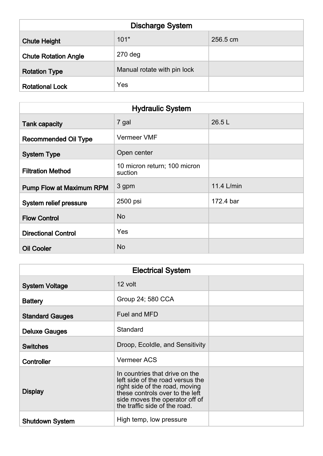| <b>Discharge System</b>     |                             |          |
|-----------------------------|-----------------------------|----------|
| <b>Chute Height</b>         | 101"                        | 256.5 cm |
| <b>Chute Rotation Angle</b> | $270$ deg                   |          |
| <b>Rotation Type</b>        | Manual rotate with pin lock |          |
| <b>Rotational Lock</b>      | Yes                         |          |

| <b>Hydraulic System</b>         |                                         |            |
|---------------------------------|-----------------------------------------|------------|
| <b>Tank capacity</b>            | 7 gal                                   | 26.5 L     |
| <b>Recommended Oil Type</b>     | <b>Vermeer VMF</b>                      |            |
| <b>System Type</b>              | Open center                             |            |
| <b>Filtration Method</b>        | 10 micron return; 100 micron<br>suction |            |
| <b>Pump Flow at Maximum RPM</b> | 3 gpm                                   | 11.4 L/min |
| System relief pressure          | 2500 psi                                | 172.4 bar  |
| <b>Flow Control</b>             | <b>No</b>                               |            |
| <b>Directional Control</b>      | Yes                                     |            |
| <b>Oil Cooler</b>               | <b>No</b>                               |            |

| <b>Electrical System</b> |                                                                                                                                                                                                            |  |
|--------------------------|------------------------------------------------------------------------------------------------------------------------------------------------------------------------------------------------------------|--|
| <b>System Voltage</b>    | 12 volt                                                                                                                                                                                                    |  |
| <b>Battery</b>           | Group 24; 580 CCA                                                                                                                                                                                          |  |
| <b>Standard Gauges</b>   | Fuel and MFD                                                                                                                                                                                               |  |
| <b>Deluxe Gauges</b>     | Standard                                                                                                                                                                                                   |  |
| <b>Switches</b>          | Droop, Ecoldle, and Sensitivity                                                                                                                                                                            |  |
| Controller               | <b>Vermeer ACS</b>                                                                                                                                                                                         |  |
| <b>Display</b>           | In countries that drive on the<br>left side of the road versus the<br>right side of the road, moving<br>these controls over to the left<br>side moves the operator off of<br>the traffic side of the road. |  |
| <b>Shutdown System</b>   | High temp, low pressure                                                                                                                                                                                    |  |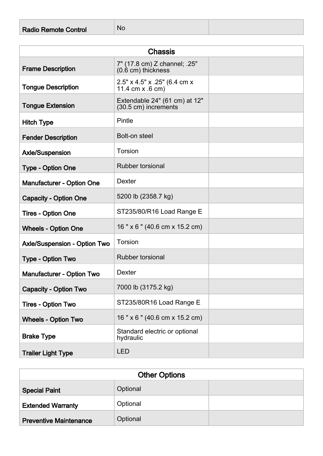| <b>Radio Remote Control</b> | l No |
|-----------------------------|------|
|                             |      |

| <b>Chassis</b>                      |                                                                    |  |  |
|-------------------------------------|--------------------------------------------------------------------|--|--|
| <b>Frame Description</b>            | 7" (17.8 cm) Z channel; .25"<br>$(0.\dot{6} \text{ cm})$ thickness |  |  |
| <b>Tongue Description</b>           | 2.5" x 4.5" x .25" (6.4 cm x<br>11.4 cm x .6 cm)                   |  |  |
| <b>Tongue Extension</b>             | Extendable 24" (61 cm) at 12"<br>(30.5 cm) increments              |  |  |
| <b>Hitch Type</b>                   | Pintle                                                             |  |  |
| <b>Fender Description</b>           | Bolt-on steel                                                      |  |  |
| <b>Axle/Suspension</b>              | Torsion                                                            |  |  |
| <b>Type - Option One</b>            | <b>Rubber torsional</b>                                            |  |  |
| <b>Manufacturer - Option One</b>    | <b>Dexter</b>                                                      |  |  |
| <b>Capacity - Option One</b>        | 5200 lb (2358.7 kg)                                                |  |  |
| <b>Tires - Option One</b>           | ST235/80/R16 Load Range E                                          |  |  |
| <b>Wheels - Option One</b>          | 16" x 6" (40.6 cm x 15.2 cm)                                       |  |  |
| <b>Axle/Suspension - Option Two</b> | Torsion                                                            |  |  |
| <b>Type - Option Two</b>            | <b>Rubber torsional</b>                                            |  |  |
| <b>Manufacturer - Option Two</b>    | <b>Dexter</b>                                                      |  |  |
| <b>Capacity - Option Two</b>        | 7000 lb (3175.2 kg)                                                |  |  |
| <b>Tires - Option Two</b>           | ST235/80R16 Load Range E                                           |  |  |
| <b>Wheels - Option Two</b>          | 16" x 6" (40.6 cm x 15.2 cm)                                       |  |  |
| <b>Brake Type</b>                   | Standard electric or optional<br>hydraulic                         |  |  |
| <b>Trailer Light Type</b>           | <b>LED</b>                                                         |  |  |

| <b>Other Options</b>          |          |  |  |
|-------------------------------|----------|--|--|
| <b>Special Paint</b>          | Optional |  |  |
| <b>Extended Warranty</b>      | Optional |  |  |
| <b>Preventive Maintenance</b> | Optional |  |  |